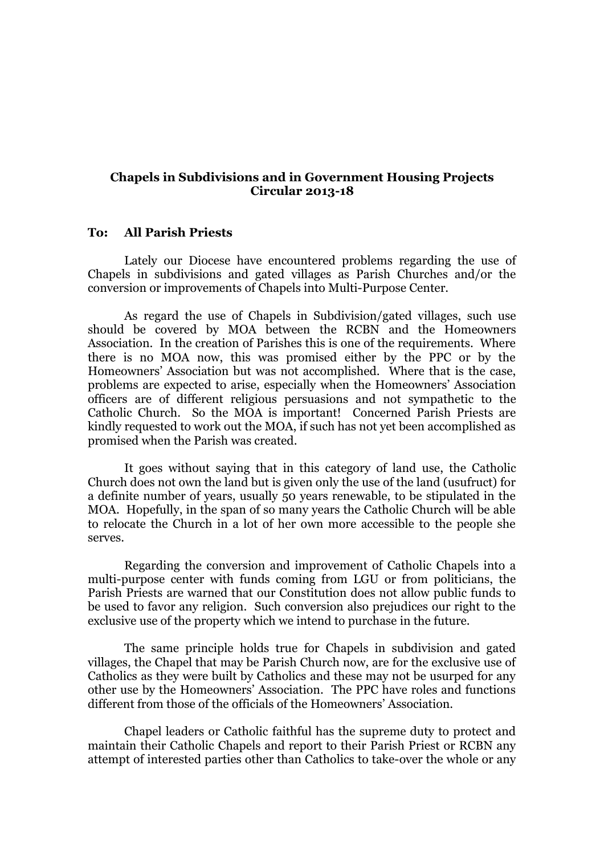## **Chapels in Subdivisions and in Government Housing Projects Circular 2013-18**

## **To: All Parish Priests**

Lately our Diocese have encountered problems regarding the use of Chapels in subdivisions and gated villages as Parish Churches and/or the conversion or improvements of Chapels into Multi-Purpose Center.

As regard the use of Chapels in Subdivision/gated villages, such use should be covered by MOA between the RCBN and the Homeowners Association. In the creation of Parishes this is one of the requirements. Where there is no MOA now, this was promised either by the PPC or by the Homeowners' Association but was not accomplished. Where that is the case, problems are expected to arise, especially when the Homeowners' Association officers are of different religious persuasions and not sympathetic to the Catholic Church. So the MOA is important! Concerned Parish Priests are kindly requested to work out the MOA, if such has not yet been accomplished as promised when the Parish was created.

It goes without saying that in this category of land use, the Catholic Church does not own the land but is given only the use of the land (usufruct) for a definite number of years, usually 50 years renewable, to be stipulated in the MOA. Hopefully, in the span of so many years the Catholic Church will be able to relocate the Church in a lot of her own more accessible to the people she serves.

Regarding the conversion and improvement of Catholic Chapels into a multi-purpose center with funds coming from LGU or from politicians, the Parish Priests are warned that our Constitution does not allow public funds to be used to favor any religion. Such conversion also prejudices our right to the exclusive use of the property which we intend to purchase in the future.

The same principle holds true for Chapels in subdivision and gated villages, the Chapel that may be Parish Church now, are for the exclusive use of Catholics as they were built by Catholics and these may not be usurped for any other use by the Homeowners' Association. The PPC have roles and functions different from those of the officials of the Homeowners' Association.

Chapel leaders or Catholic faithful has the supreme duty to protect and maintain their Catholic Chapels and report to their Parish Priest or RCBN any attempt of interested parties other than Catholics to take-over the whole or any